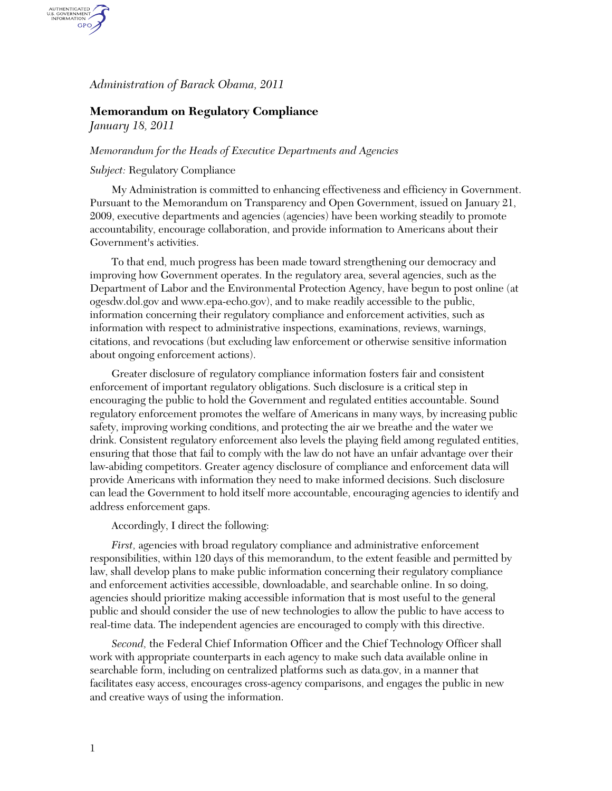*Administration of Barack Obama, 2011* 

# **Memorandum on Regulatory Compliance**

*January 18, 2011* 

AUTHENTICATED GPO

### *Memorandum for the Heads of Executive Departments and Agencies*

## *Subject:* Regulatory Compliance

My Administration is committed to enhancing effectiveness and efficiency in Government. Pursuant to the Memorandum on Transparency and Open Government, issued on January 21, 2009, executive departments and agencies (agencies) have been working steadily to promote accountability, encourage collaboration, and provide information to Americans about their Government's activities.

To that end, much progress has been made toward strengthening our democracy and improving how Government operates. In the regulatory area, several agencies, such as the Department of Labor and the Environmental Protection Agency, have begun to post online (at ogesdw.dol.gov and www.epa-echo.gov), and to make readily accessible to the public, information concerning their regulatory compliance and enforcement activities, such as information with respect to administrative inspections, examinations, reviews, warnings, citations, and revocations (but excluding law enforcement or otherwise sensitive information about ongoing enforcement actions).

Greater disclosure of regulatory compliance information fosters fair and consistent enforcement of important regulatory obligations. Such disclosure is a critical step in encouraging the public to hold the Government and regulated entities accountable. Sound regulatory enforcement promotes the welfare of Americans in many ways, by increasing public safety, improving working conditions, and protecting the air we breathe and the water we drink. Consistent regulatory enforcement also levels the playing field among regulated entities, ensuring that those that fail to comply with the law do not have an unfair advantage over their law-abiding competitors. Greater agency disclosure of compliance and enforcement data will provide Americans with information they need to make informed decisions. Such disclosure can lead the Government to hold itself more accountable, encouraging agencies to identify and address enforcement gaps.

#### Accordingly, I direct the following:

*First,* agencies with broad regulatory compliance and administrative enforcement responsibilities, within 120 days of this memorandum, to the extent feasible and permitted by law, shall develop plans to make public information concerning their regulatory compliance and enforcement activities accessible, downloadable, and searchable online. In so doing, agencies should prioritize making accessible information that is most useful to the general public and should consider the use of new technologies to allow the public to have access to real-time data. The independent agencies are encouraged to comply with this directive.

*Second,* the Federal Chief Information Officer and the Chief Technology Officer shall work with appropriate counterparts in each agency to make such data available online in searchable form, including on centralized platforms such as data.gov, in a manner that facilitates easy access, encourages cross-agency comparisons, and engages the public in new and creative ways of using the information.